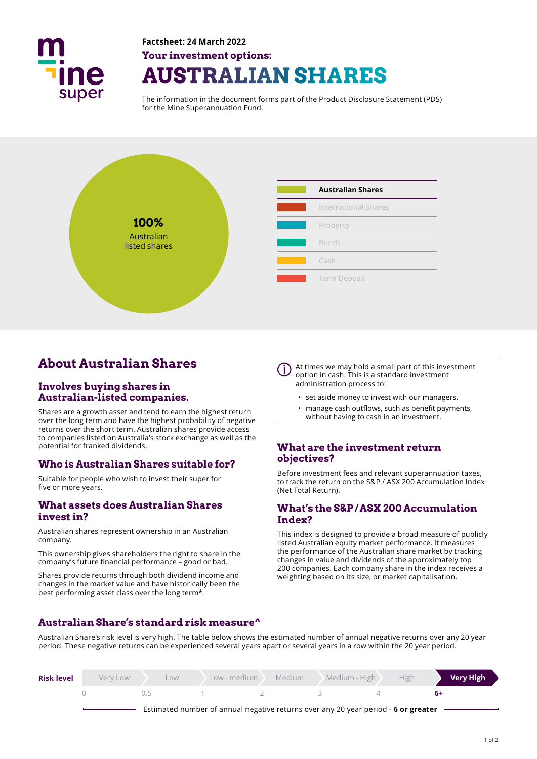

## **Factsheet: 24 March 2022 Your investment options: AUSTRALIAN SHARES**

The information in the document forms part of the Product Disclosure Statement (PDS) for the Mine Superannuation Fund.



## **About Australian Shares**

#### **Involves buying shares in Australian-listed companies.**

Shares are a growth asset and tend to earn the highest return over the long term and have the highest probability of negative returns over the short term. Australian shares provide access to companies listed on Australia's stock exchange as well as the potential for franked dividends.

### **Who is Australian Shares suitable for?**

Suitable for people who wish to invest their super for five or more years.

#### **What assets does Australian Shares invest in?**

Australian shares represent ownership in an Australian company.

This ownership gives shareholders the right to share in the company's future fnancial performance – good or bad.

Shares provide returns through both dividend income and changes in the market value and have historically been the best performing asset class over the long term\*.

At times we may hold a small part of this investment option in cash. This is a standard investment administration process to:

- set aside money to invest with our managers.
- manage cash outflows, such as benefit payments, without having to cash in an investment.

#### **What are the investment return objectives?**

Before investment fees and relevant superannuation taxes, to track the return on the S&P / ASX 200 Accumulation Index (Net Total Return).

#### **What's the S&P / ASX 200 Accumulation Index?**

This index is designed to provide a broad measure of publicly listed Australian equity market performance. It measures the performance of the Australian share market by tracking changes in value and dividends of the approximately top 200 companies. Each company share in the index receives a weighting based on its size, or market capitalisation.

### **Australian Share's standard risk measure^**

Australian Share's risk level is very high. The table below shows the estimated number of annual negative returns over any 20 year period. These negative returns can be experienced several years apart or several years in a row within the 20 year period.

| <b>Risk level</b> | Very Low | LOW | Low - medium                                                                       | Medium | Medium - High | High | <b>Very High</b> |
|-------------------|----------|-----|------------------------------------------------------------------------------------|--------|---------------|------|------------------|
|                   |          |     |                                                                                    |        |               |      |                  |
|                   |          |     | Estimated number of annual negative returns over any 20 year period - 6 or greater |        |               |      |                  |

Estimated number of annual negative returns over any 20 year period - **6 or greater**